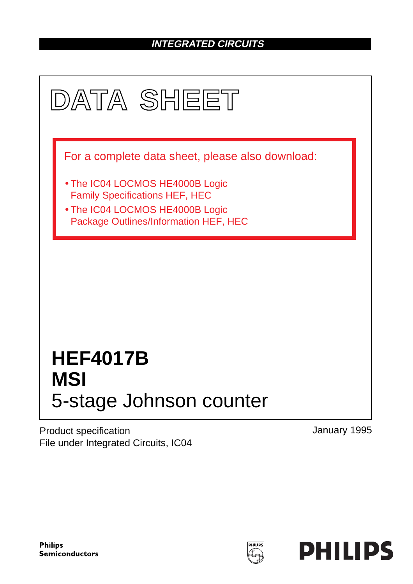## **INTEGRATED CIRCUITS**



Product specification File under Integrated Circuits, IC04 January 1995

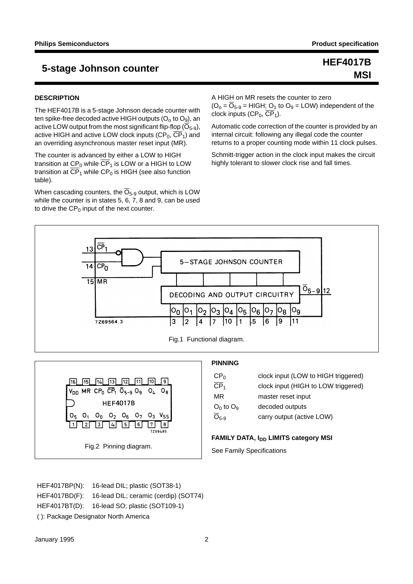# **MSI**

#### **DESCRIPTION**

The HEF4017B is a 5-stage Johnson decade counter with ten spike-free decoded active HIGH outputs  $(O_0,$  to  $O_9)$ , an active LOW output from the most significant flip-flop  $(\overline{O}_{5-9})$ , active HIGH and active LOW clock inputs  $(CP_0, \overline{CP}_1)$  and an overriding asynchronous master reset input (MR).

The counter is advanced by either a LOW to HIGH transition at  $CP_0$  while  $\overline{CP}_1$  is LOW or a HIGH to LOW transition at  $\overline{\text{CP}}_1$  while CP<sub>0</sub> is HIGH (see also function table).

When cascading counters, the  $\overline{O}_{5-9}$  output, which is LOW while the counter is in states 5, 6, 7, 8 and 9, can be used to drive the  $CP_0$  input of the next counter.

A HIGH on MR resets the counter to zero  $(O_0 = \overline{O}_{5-9} = HIGH; O_1$  to  $O_9 = LOW$ ) independent of the clock inputs  $(CP_0, \overline{CP}_1)$ .

Automatic code correction of the counter is provided by an internal circuit: following any illegal code the counter returns to a proper counting mode within 11 clock pulses.

Schmitt-trigger action in the clock input makes the circuit highly tolerant to slower clock rise and fall times.





## **PINNING**

| CP <sub>0</sub>          | clock input (LOW to HIGH triggered) |
|--------------------------|-------------------------------------|
| $\overline{\text{CP}}_1$ | clock input (HIGH to LOW triggered) |
| MR                       | master reset input                  |
| $O_0$ to $O_9$           | decoded outputs                     |
| $O5-9$                   | carry output (active LOW)           |

## **FAMILY DATA, I<sub>DD</sub> LIMITS category MSI**

See Family Specifications

HEF4017BP(N): 16-lead DIL; plastic (SOT38-1) HEF4017BD(F): 16-lead DIL; ceramic (cerdip) (SOT74) HEF4017BT(D): 16-lead SO; plastic (SOT109-1) ( ): Package Designator North America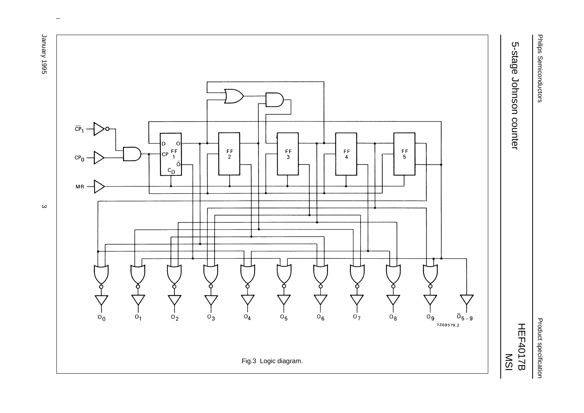1996 Arenuer January 1995 3



 $\omega$  rotated correctly when browsing through the pdf in the Acrobat reader.This text is here in the pdf in the  $\alpha$ 

Philips Semiconductors Philips Semiconductors

5-stage Johnson counter

5-stage Johnson counter

Product specification Product specification

HEF4017B MSI

 $\boldsymbol{\omega}$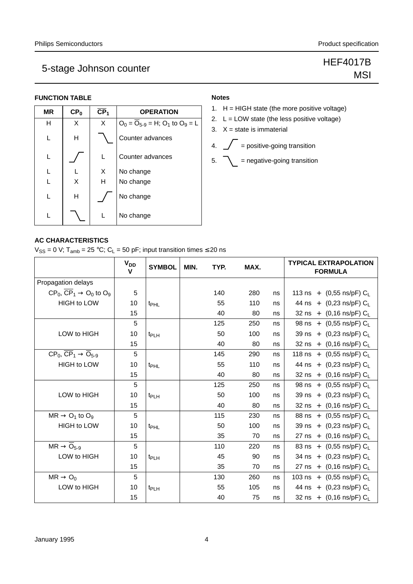**MSI** 

# 5-stage Johnson counter Manuscript Section 1995-5-1996 15-stage Johnson counter Manuscript Communist Section 1

## **FUNCTION TABLE**

| CP <sub>0</sub> | CP <sub>1</sub> | <b>OPERATION</b>                         |
|-----------------|-----------------|------------------------------------------|
| X               | X               | $O_0 = O_{5-9} = H$ ; $O_1$ to $O_9 = L$ |
| H               |                 | Counter advances                         |
|                 | L               | Counter advances                         |
|                 | X               | No change                                |
| X               | н               | No change                                |
| Η               |                 | No change                                |
|                 |                 | No change                                |
|                 |                 |                                          |

## **Notes**

- 1.  $H = HIGH state$  (the more positive voltage)
- 2. L = LOW state (the less positive voltage)
- 3.  $X = state$  is immaterial
- 4.  $\sqrt{\phantom{a}}$  = positive-going transition
- $5. \quad \bigwedge \quad =$  negative-going transition

 $V_{SS} = 0$  V; T<sub>amb</sub> = 25 °C; C<sub>L</sub> = 50 pF; input transition times  $\leq$  20 ns

|                                                           | <b>V<sub>DD</sub></b><br>v | <b>SYMBOL</b>    | MIN. | TYP. | MAX. |    | <b>TYPICAL EXTRAPOLATION</b><br><b>FORMULA</b> |
|-----------------------------------------------------------|----------------------------|------------------|------|------|------|----|------------------------------------------------|
| Propagation delays                                        |                            |                  |      |      |      |    |                                                |
| $CP_0$ , $\overline{CP}_1 \rightarrow O_0$ to $O_9$       | 5                          |                  |      | 140  | 280  | ns | 113 ns + $(0,55 \text{ ns/pF}) C_L$            |
| <b>HIGH to LOW</b>                                        | 10                         | t <sub>PHL</sub> |      | 55   | 110  | ns | 44 ns + $(0,23 \text{ ns/pF}) C_L$             |
|                                                           | 15                         |                  |      | 40   | 80   | ns | 32 ns + $(0,16 \text{ ns/pF}) C_L$             |
|                                                           | 5                          |                  |      | 125  | 250  | ns | 98 ns + $(0,55 \text{ ns/pF}) C_1$             |
| LOW to HIGH                                               | 10                         | t <sub>PLH</sub> |      | 50   | 100  | ns | 39 ns + $(0,23 \text{ ns/pF}) C_1$             |
|                                                           | 15                         |                  |      | 40   | 80   | ns | 32 ns + $(0,16 \text{ ns/pF}) C_L$             |
| $CP_0$ , $\overline{CP}_1 \rightarrow \overline{O}_{5-9}$ | 5                          |                  |      | 145  | 290  | ns | 118 ns + $(0,55 \text{ ns/pF}) C_L$            |
| <b>HIGH to LOW</b>                                        | 10                         | t <sub>PHL</sub> |      | 55   | 110  | ns | 44 ns + (0,23 ns/pF) CL                        |
|                                                           | 15                         |                  |      | 40   | 80   | ns | 32 ns + $(0,16 \text{ ns/pF}) C_L$             |
|                                                           | 5                          |                  |      | 125  | 250  | ns | 98 ns + $(0,55 \text{ ns/pF}) C_L$             |
| LOW to HIGH                                               | 10                         | t <sub>PLH</sub> |      | 50   | 100  | ns | 39 ns + (0,23 ns/pF) CL                        |
|                                                           | 15                         |                  |      | 40   | 80   | ns | 32 ns + $(0,16 \text{ ns/pF}) C_L$             |
| $MR \rightarrow O_1$ to $O_9$                             | 5                          |                  |      | 115  | 230  | ns | 88 ns + $(0,55 \text{ ns/pF}) C_1$             |
| <b>HIGH to LOW</b>                                        | 10                         | t <sub>PHL</sub> |      | 50   | 100  | ns | 39 ns + $(0,23 \text{ ns/pF}) C_L$             |
|                                                           | 15                         |                  |      | 35   | 70   | ns | 27 ns + (0,16 ns/pF) CL                        |
| $MR \rightarrow \overline{O}_{5-9}$                       | 5                          |                  |      | 110  | 220  | ns | 83 ns + $(0,55 \text{ ns/pF}) C_1$             |
| LOW to HIGH                                               | 10                         | t <sub>PLH</sub> |      | 45   | 90   | ns | 34 ns + $(0,23 \text{ ns/pF}) C_L$             |
|                                                           | 15                         |                  |      | 35   | 70   | ns | 27 ns + $(0,16 \text{ ns/pF}) C_1$             |
| $MR \rightarrow O_0$                                      | 5                          |                  |      | 130  | 260  | ns | 103 ns + $(0,55 \text{ ns/pF}) C_L$            |
| LOW to HIGH                                               | 10                         | t <sub>PLH</sub> |      | 55   | 105  | ns | 44 ns + (0,23 ns/pF) CL                        |
|                                                           | 15                         |                  |      | 40   | 75   | ns | 32 ns + $(0,16 \text{ ns/pF}) C_L$             |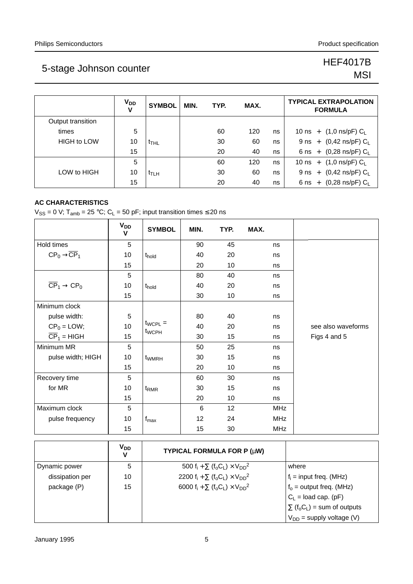# MSI

|                    | <b>V<sub>DD</sub></b><br>V | <b>SYMBOL</b>    | MIN. | TYP. | MAX. |    | <b>TYPICAL EXTRAPOLATION</b><br><b>FORMULA</b>   |
|--------------------|----------------------------|------------------|------|------|------|----|--------------------------------------------------|
| Output transition  |                            |                  |      |      |      |    |                                                  |
| times              | 5                          |                  |      | 60   | 120  | ns | 10 ns + $(1,0 \text{ ns/pF}) C_{L}$              |
| <b>HIGH to LOW</b> | 10                         | t <sub>THL</sub> |      | 30   | 60   | ns | 9 ns + $(0,42 \text{ ns/pF}) C_L$                |
|                    | 15                         |                  |      | 20   | 40   | ns | 6 ns + $(0,28 \text{ ns/pF}) C_L$                |
|                    | 5                          |                  |      | 60   | 120  | ns | 10 ns + $(1,0 \text{ ns/pF}) C_L$                |
| LOW to HIGH        | 10                         | t⊤∟н             |      | 30   | 60   | ns | 9 ns + $(0,42 \text{ ns/pF}) C_L$                |
|                    | 15                         |                  |      | 20   | 40   | ns | $(0,28 \text{ ns/pF}) \text{ C}_L$<br>$6$ ns $+$ |

## **AC CHARACTERISTICS**

 $V_{SS} = 0$  V; T<sub>amb</sub> = 25 °C; C<sub>L</sub> = 50 pF; input transition times  $\leq$  20 ns

|                                                  | $V_{DD}$<br>V | <b>SYMBOL</b>                     | MIN.            | TYP. | MAX.       |                    |
|--------------------------------------------------|---------------|-----------------------------------|-----------------|------|------------|--------------------|
| Hold times                                       | 5             |                                   | 90              | 45   | ns         |                    |
| $CP_0 \rightarrow \overline{CP}_1$               | 10            | t <sub>hold</sub>                 | 40              | 20   | ns         |                    |
|                                                  | 15            |                                   | 20              | 10   | ns         |                    |
|                                                  | 5             |                                   | 80              | 40   | ns         |                    |
| $\overline{\text{CP}}_1 \rightarrow \text{CP}_0$ | 10            | t <sub>hold</sub>                 | 40              | 20   | ns         |                    |
|                                                  | 15            |                                   | 30              | 10   | ns         |                    |
| Minimum clock                                    |               |                                   |                 |      |            |                    |
| pulse width:                                     | 5             |                                   | 80              | 40   | ns         |                    |
| $CP_0 =$ LOW;                                    | 10            | $t_{WCPU} =$<br>t <sub>WCPH</sub> | 40              | 20   | ns         | see also waveforms |
| $\overline{CP}_1$ = HIGH                         | 15            |                                   | 30              | 15   | ns         | Figs 4 and 5       |
| Minimum MR                                       | 5             |                                   | 50              | 25   | ns         |                    |
| pulse width; HIGH                                | 10            | t <sub>WMRH</sub>                 | 30              | 15   | ns         |                    |
|                                                  | 15            |                                   | 20              | 10   | ns         |                    |
| Recovery time                                    | 5             |                                   | 60              | 30   | ns         |                    |
| for MR                                           | 10            | t <sub>RMR</sub>                  | 30              | 15   | ns         |                    |
|                                                  | 15            |                                   | 20              | 10   | ns         |                    |
| Maximum clock                                    | 5             |                                   | $6\phantom{1}6$ | 12   | <b>MHz</b> |                    |
| pulse frequency                                  | 10            | $f_{\text{max}}$                  | 12              | 24   | <b>MHz</b> |                    |
|                                                  | 15            |                                   | 15              | 30   | <b>MHz</b> |                    |

|                 | <b>V<sub>DD</sub></b><br>v | TYPICAL FORMULA FOR P (µW)                                                                     |                                                            |
|-----------------|----------------------------|------------------------------------------------------------------------------------------------|------------------------------------------------------------|
| Dynamic power   | 5                          | 500 f <sub>i</sub> + $\Sigma$ (f <sub>o</sub> C <sub>L</sub> ) × V <sub>DD</sub> <sup>2</sup>  | where                                                      |
| dissipation per | 10                         | 2200 f <sub>i</sub> + $\Sigma$ (f <sub>o</sub> C <sub>L</sub> ) × V <sub>DD</sub> <sup>2</sup> | $f_i$ = input freq. (MHz)                                  |
| package (P)     | 15                         | 6000 f <sub>i</sub> + $\Sigma$ (f <sub>o</sub> C <sub>L</sub> ) × V <sub>DD</sub> <sup>2</sup> | $f_0$ = output freq. (MHz)                                 |
|                 |                            |                                                                                                | $C_L$ = load cap. (pF)                                     |
|                 |                            |                                                                                                | $\Sigma$ (f <sub>o</sub> C <sub>L</sub> ) = sum of outputs |
|                 |                            |                                                                                                | $V_{DD}$ = supply voltage (V)                              |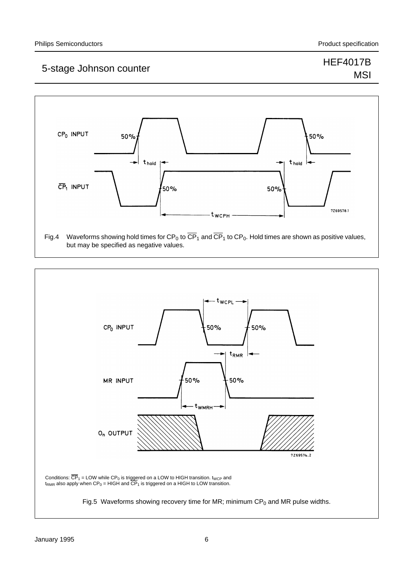# **MSI**



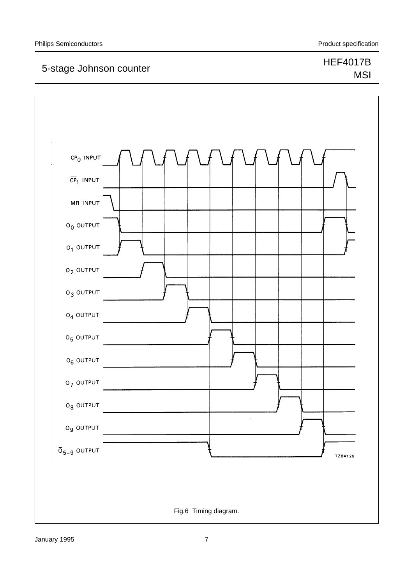# MSI